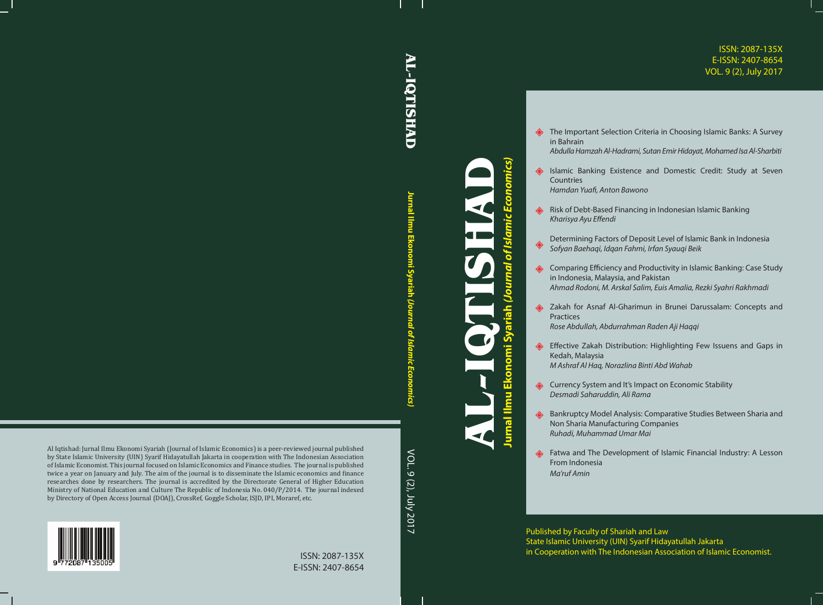## ISSN: 2087-135X E-ISSN: 2407-8654 VOL. 9 (2), July 2017

## **AL-IQTISHAD AL-IQTISHAD**

**Jurnal Ilmu Ekonomi SyariahUrnal limu** conomi Syariah  *(Journal of Islamic Economics)*

Al Iqtishad: Jurnal Ilmu Ekonomi Syariah (Journal of Islamic Economics) is a peer-reviewed journal published by State Islamic University (UIN) Syarif Hidayatullah Jakarta in cooperation with The Indonesian Association of Islamic Economist. This journal focused on Islamic Economics and Finance studies. The journal is published twice a year on January and July. The aim of the journal is to disseminate the Islamic economics and finance researches done by researchers. The journal is accredited by the Directorate General of Higher Education Ministry of National Education and Culture The Republic of Indonesia No. 040/P/2014. The journal indexed by Directory of Open Access Journal (DOAJ), CrossRef, Goggle Scholar, ISJD, IPI, Moraref, etc.

VOL. 9 (2), July 2017 VOL. 9 (2), July 2017

**Jurnal Ilmu Ekonomi Syariah** *(Journal of Islamic Economics)* mics) **AL-IQTISHAD** of Isl  $\tilde{\mathbf{e}}$ nal Ilmu Ekon

**EXECTED:** The Important Selection Criteria in Choosing Islamic Banks: A Survey in Bahrain

*Abdulla Hamzah Al-Hadrami, Sutan Emir Hidayat, Mohamed Isa Al-Sharbiti*

- **B** Islamic Banking Existence and Domestic Credit: Study at Seven **Countries** *Hamdan Yuafi, Anton Bawono*
- Risk of Debt-Based Financing in Indonesian Islamic Banking *Kharisya Ayu Effendi*
- Determining Factors of Deposit Level of Islamic Bank in Indonesia ◈ *Sofyan Baehaqi, Idqan Fahmi, Irfan Syauqi Beik*
- **Example 15 Comparing Efficiency and Productivity in Islamic Banking: Case Study** in Indonesia, Malaysia, and Pakistan *Ahmad Rodoni, M. Arskal Salim, Euis Amalia, Rezki Syahri Rakhmadi*
- **Example 2** Zakah for Asnaf Al-Gharimun in Brunei Darussalam: Concepts and Practices *Rose Abdullah, Abdurrahman Raden Aji Haqqi*
- ♣ Effective Zakah Distribution: Highlighting Few Issuens and Gaps in Kedah, Malaysia *M Ashraf Al Haq, Norazlina Binti Abd Wahab*
- **Example 20** Currency System and It's Impact on Economic Stability *Desmadi Saharuddin, Ali Rama*
- Bankruptcy Model Analysis: Comparative Studies Between Sharia and Non Sharia Manufacturing Companies *Ruhadi, Muhammad Umar Mai*
- **SEP THE DEVELOPMENT OF ISLAMIC FINANCIAL INCORPORT A** Lesson From Indonesia *Ma'ruf Amin*

Published by Faculty of Shariah and Law State Islamic University (UIN) Syarif Hidayatullah Jakarta in Cooperation with The Indonesian Association of Islamic Economist.



ISSN: 2087-135X E-ISSN: 2407-8654